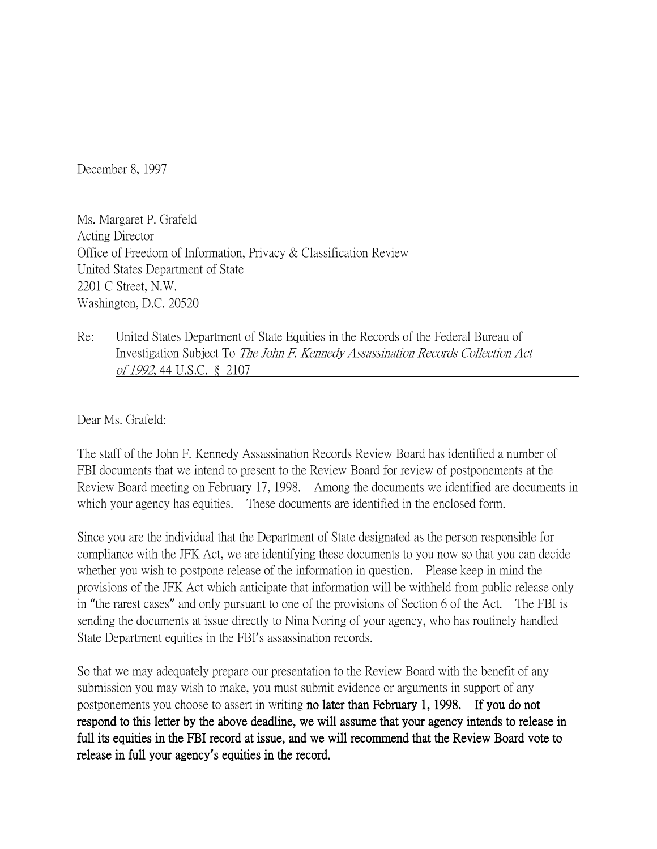December 8, 1997

Ms. Margaret P. Grafeld Acting Director Office of Freedom of Information, Privacy & Classification Review United States Department of State 2201 C Street, N.W. Washington, D.C. 20520

Re: United States Department of State Equities in the Records of the Federal Bureau of Investigation Subject To The John F. Kennedy Assassination Records Collection Act of 1992, 44 U.S.C. § 2107

Dear Ms. Grafeld:

The staff of the John F. Kennedy Assassination Records Review Board has identified a number of FBI documents that we intend to present to the Review Board for review of postponements at the Review Board meeting on February 17, 1998. Among the documents we identified are documents in which your agency has equities. These documents are identified in the enclosed form.

Since you are the individual that the Department of State designated as the person responsible for compliance with the JFK Act, we are identifying these documents to you now so that you can decide whether you wish to postpone release of the information in question. Please keep in mind the provisions of the JFK Act which anticipate that information will be withheld from public release only in "the rarest cases" and only pursuant to one of the provisions of Section 6 of the Act. The FBI is sending the documents at issue directly to Nina Noring of your agency, who has routinely handled State Department equities in the FBI's assassination records.

So that we may adequately prepare our presentation to the Review Board with the benefit of any submission you may wish to make, you must submit evidence or arguments in support of any postponements you choose to assert in writing no later than February 1, 1998. If you do not respond to this letter by the above deadline, we will assume that your agency intends to release in full its equities in the FBI record at issue, and we will recommend that the Review Board vote to release in full your agency**'**s equities in the record.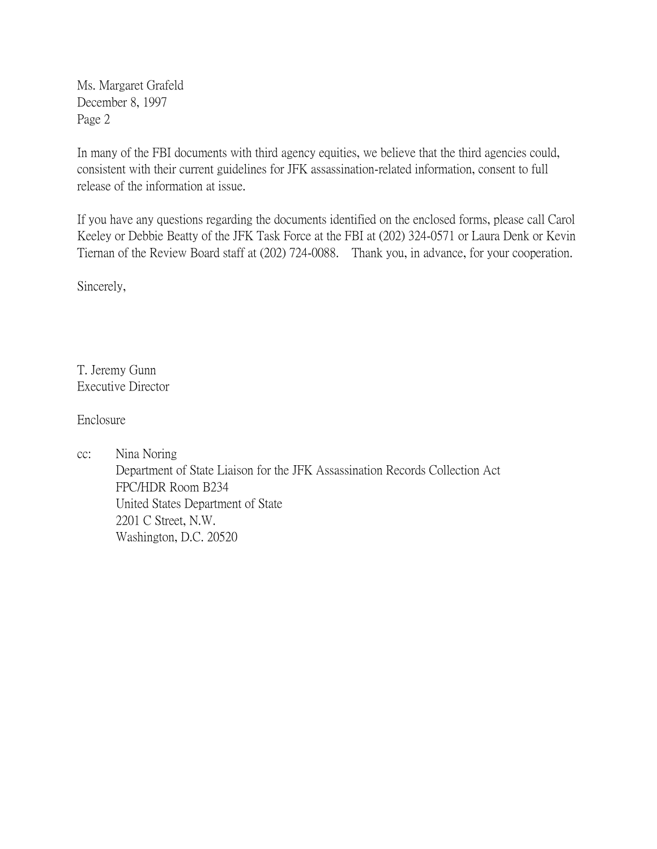Ms. Margaret Grafeld December 8, 1997 Page 2

In many of the FBI documents with third agency equities, we believe that the third agencies could, consistent with their current guidelines for JFK assassination-related information, consent to full release of the information at issue.

If you have any questions regarding the documents identified on the enclosed forms, please call Carol Keeley or Debbie Beatty of the JFK Task Force at the FBI at (202) 324-0571 or Laura Denk or Kevin Tiernan of the Review Board staff at (202) 724-0088. Thank you, in advance, for your cooperation.

Sincerely,

T. Jeremy Gunn Executive Director

Enclosure

cc: Nina Noring Department of State Liaison for the JFK Assassination Records Collection Act FPC/HDR Room B234 United States Department of State 2201 C Street, N.W. Washington, D.C. 20520